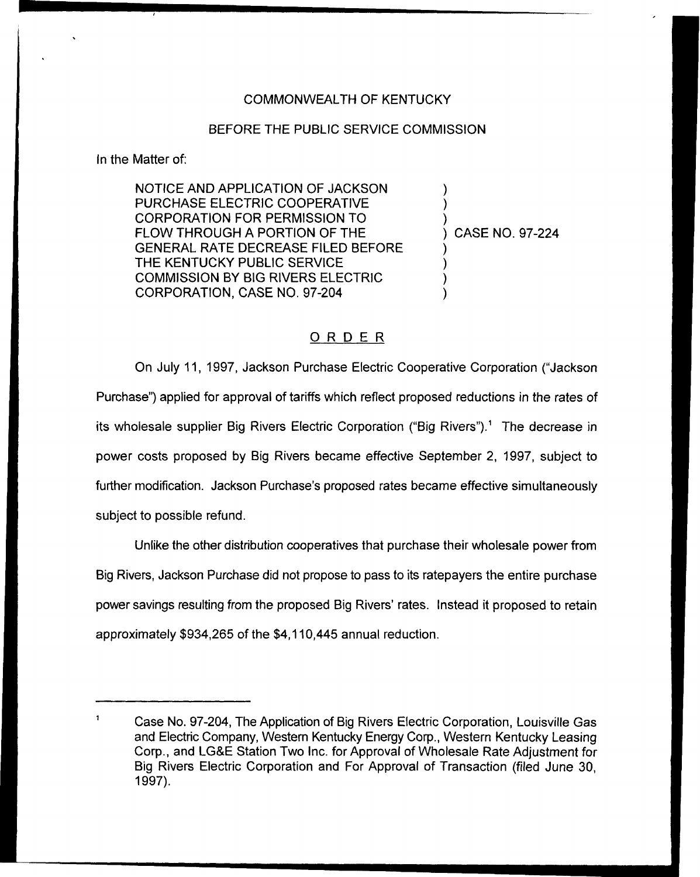## COMMONWEALTH OF KENTUCKY

#### BEFORE THE PUBLIC SERVICE COMMISSION

In the Matter of:

NOTICE AND APPLICATION OF JACKSON PURCHASE ELECTRIC COOPERATIVE CORPORATION FOR PERMISSION TO FLOW THROUGH A PORTION OF THE GENERAL RATE DECREASE FILED BEFORE THE KENTUCKY PUBLIC SERVICE COMMISSION BY BIG RIVERS ELECTRIC CORPORATION, CASE NO. 97-204 ) ) ) ) ) ) )

) CASE NO. 97-224

#### ORDER

On July 11, 1997, Jackson Purchase Electric Cooperative Corporation ("Jackson Purchase") applied for approval of tariffs which reflect proposed reductions in the rates of its wholesale supplier Big Rivers Electric Corporation ("Big Rivers").<sup>1</sup> The decrease in power costs proposed by Big Rivers became effective September 2, 1997, subject to further modification. Jackson Purchase's proposed rates became effective simultaneously subject to possible refund.

Unlike the other distribution cooperatives that purchase their wholesale power from Big Rivers, Jackson Purchase did not propose to pass to its ratepayers the entire purchase power savings resulting from the proposed Big Rivers' rates. Instead it proposed to retain approximately \$934,265 of the \$4,110,445 annual reduction.

Case No. 97-204, The Application of Big Rivers Electric Corporation, Louisville Gas and Electric Company, Western Kentucky Energy Corp., Western Kentucky Leasing Corp., and LG&E Station Two Inc. for Approval of Wholesale Rate Adjustment for Big Rivers Electric Corporation and For Approval of Transaction (filed June 30, 1997).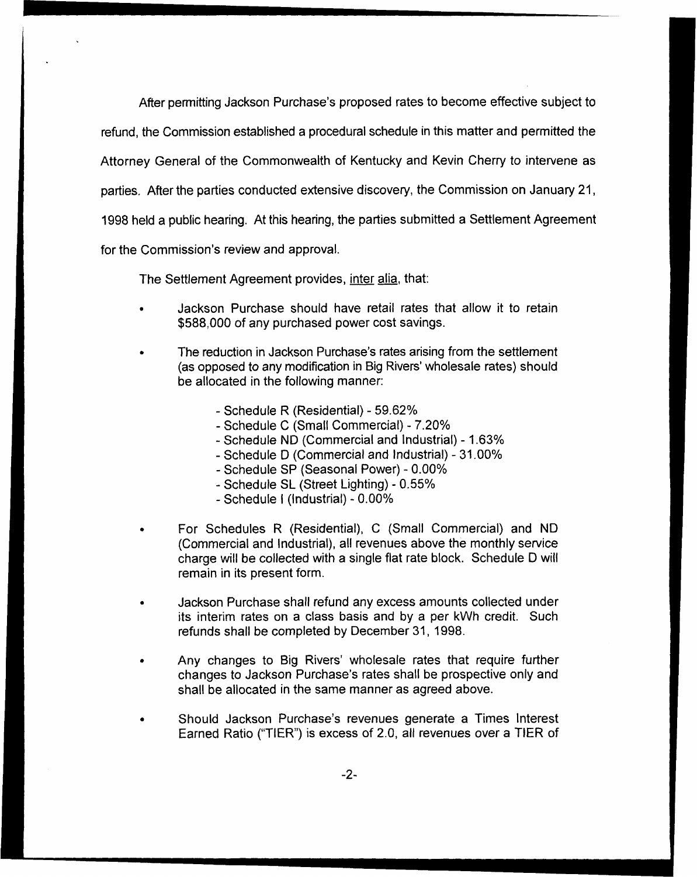After permitting Jackson Purchase's proposed rates to become effective subject to refund, the Commission established a procedural schedule in this matter and permitted the Attorney General of the Commonwealth of Kentucky and Kevin Cherry to intervene as parties. After the parties conducted extensive discovery, the Commission on January 21, 1998 held a public hearing. At this hearing, the parties submitted a Settlement Agreement for the Commission's review and approval.

The Settlement Agreement provides, inter alia, that:

- Jackson Purchase should have retail rates that allow it to retain \$588,000 of any purchased power cost savings.
- The reduction in Jackson Purchase's rates arising from the settlement (as opposed to any modification in Big Rivers' wholesale rates) should be allocated in the following manner:
	- Schedule R (Residential) 59.62%
	- Schedule C (Small Commercial) 7.20%
	- Schedule ND (Commercial and Industrial) 1.63%
	- Schedule D (Commercial and Industrial) 31.00%
	- Schedule SP (Seasonal Power) 0.00%
	- Schedule SL (Street Lighting) 0.55%
	- Schedule I (Industrial) 0.00%
- For Schedules R (Residential), C (Small Commercial) and ND (Commercial and Industrial), all revenues above the monthly service charge will be collected with a single fiat rate block. Schedule D will remain in its present form.
- Jackson Purchase shall refund any excess amounts collected under its interim rates on a class basis and by a per kN/h credit. Such refunds shall be completed by December 31, 1998.
- Any changes to Big Rivers' wholesale rates that require further changes to Jackson Purchase's rates shall be prospective only and shall be allocated in the same manner as agreed above.
- Should Jackson Purchase's revenues generate a Times Interest Earned Ratio ("TIER") is excess of 2.0, all revenues over a TIER of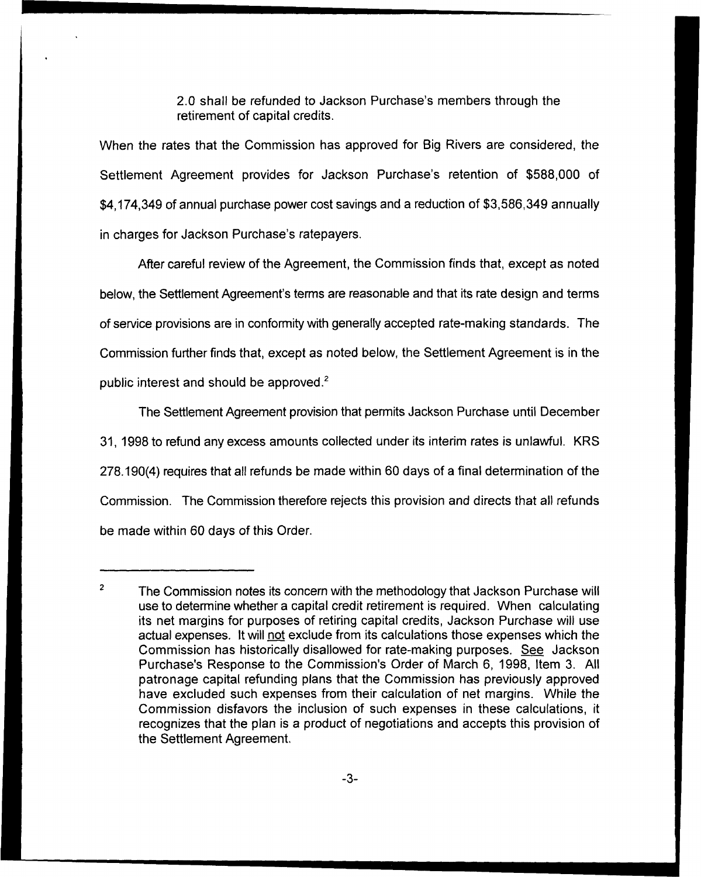2.0 shall be refunded to Jackson Purchase's members through the retirement of capital credits.

When the rates that the Commission has approved for Big Rivers are considered, the Settlement Agreement provides for Jackson Purchase's retention of \$588,000 of \$4,174,349 of annual purchase power cost savings and a reduction of \$3,586,349 annually in charges for Jackson Purchase's ratepayers.

After careful review of the Agreement, the Commission finds that, except as noted below, the Settlement Agreement's terms are reasonable and that its rate design and terms of service provisions are in conformity with generally accepted rate-making standards. The Commission further finds that, except as noted below, the Settlement Agreement is in the public interest and should be approved. $2^2$ 

The Settlement Agreement provision that permits Jackson Purchase until December 31, 1998 to refund any excess amounts collected under its interim rates is unlawful. KRS 278.190(4) requires that all refunds be made within 60 days of a final determination of the Commission. The Commission therefore rejects this provision and directs that all refunds be made within 60 days of this Order.

 $\overline{c}$ The Commission notes its concern with the methodology that Jackson Purchase will use to determine whether a capital credit retirement is required. When calculating its net margins for purposes of retiring capital credits, Jackson Purchase will use actual expenses. lt will not exclude from its calculations those expenses which the Commission has historically disallowed for rate-making purposes. See Jackson Purchase's Response to the Commission's Order of March 6, 1998, item 3. All patronage capital refunding plans that the Commission has previously approved have excluded such expenses from their calculation of net margins. While the Commission disfavors the inclusion of such expenses in these calculations, it recognizes that the plan is a product of negotiations and accepts this provision of the Settlement Agreement.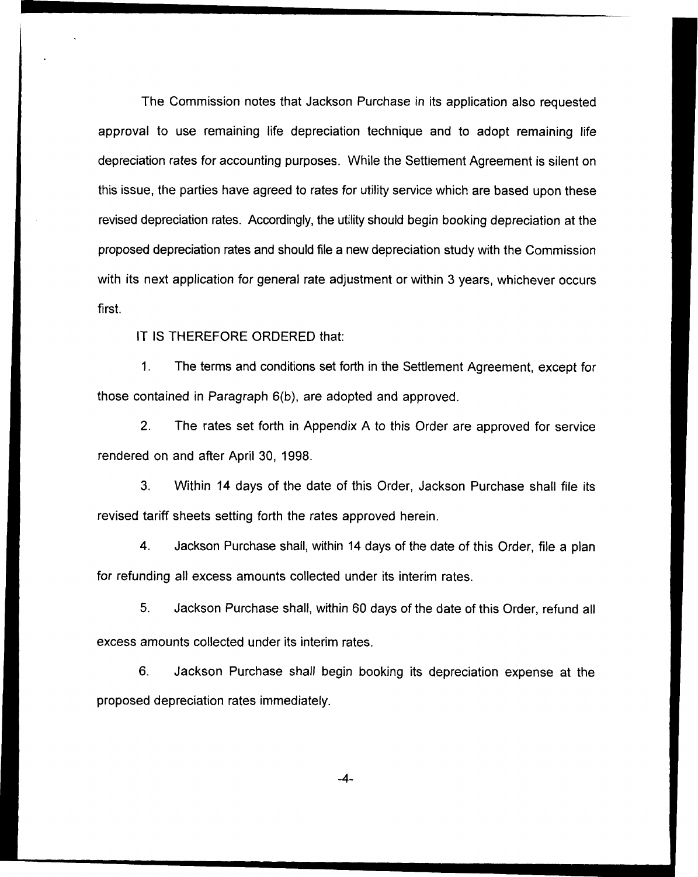The Commission notes that Jackson Purchase in its application also requested approval to use remaining life depreciation technique and to adopt remaining life depreciation rates for accounting purposes, While the Settlement Agreement is silent on this issue, the parties have agreed to rates for utility service which are based upon these revised depreciation rates. Accordingly, the utility should begin booking depreciation at the proposed depreciation rates and should file a new depreciation study with the Commission with its next application for general rate adjustment or within 3 years, whichever occurs first.

IT IS THEREFORE ORDERED that:

1. The terms and conditions set forth in the Settlement Agreement, except for those contained in Paragraph 6(b), are adopted and approved.

2. The rates set forth in Appendix <sup>A</sup> to this Order are approved for service rendered on and after April 30, 1998.

3. Within 14 days of the date of this Order, Jackson Purchase shall file its revised tariff sheets setting forth the rates approved herein.

4. Jackson Purchase shall, within 14 days of the date of this Order, file a plan for refunding all excess amounts collected under its interim rates.

5. Jackson Purchase shall, within 60 days of the date of this Order, refund all excess amounts collected under its interim rates.

6. Jackson Purchase shall begin booking its depreciation expense at the proposed depreciation rates immediately.

 $-4-$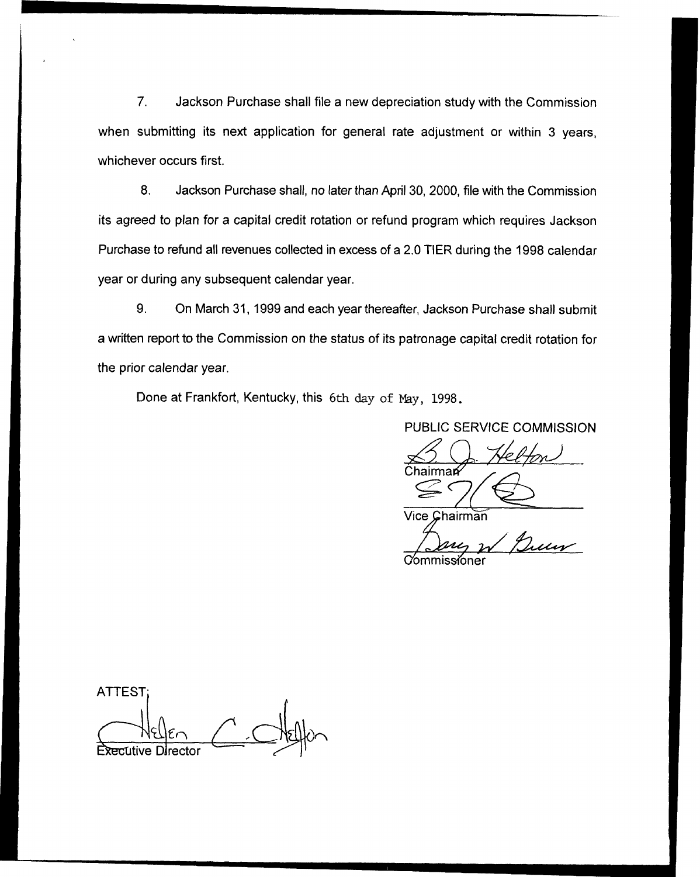7. Jackson Purchase shall file a new depreciation study with the Commission when submitting its next application for general rate adjustment or within 3 years, whichever occurs first.

8. Jackson Purchase shall, no later than April 30, 2000, file with the Commission its agreed to plan for a capital credit rotation or refund program which requires Jackson Purchase to refund all revenues collected in excess of a 2.0 TIER during the 1998 calendar year or during any subsequent calendar year.

9. On March 31, 1999 and each year thereafter, Jackson Purchase shall submit a written report to the Commission on the status of its patronage capital credit rotation for the prior calendar year.

Done at Frankfort, Kentucky, this 6th day of May, 1998.

PUBLIC SERVICE COMMISSION

PUBLIC SERVICE COMMIS<br>
Shairman

Vice Chairman

Gommissioner

**ATTEST**  $\sim$ Directo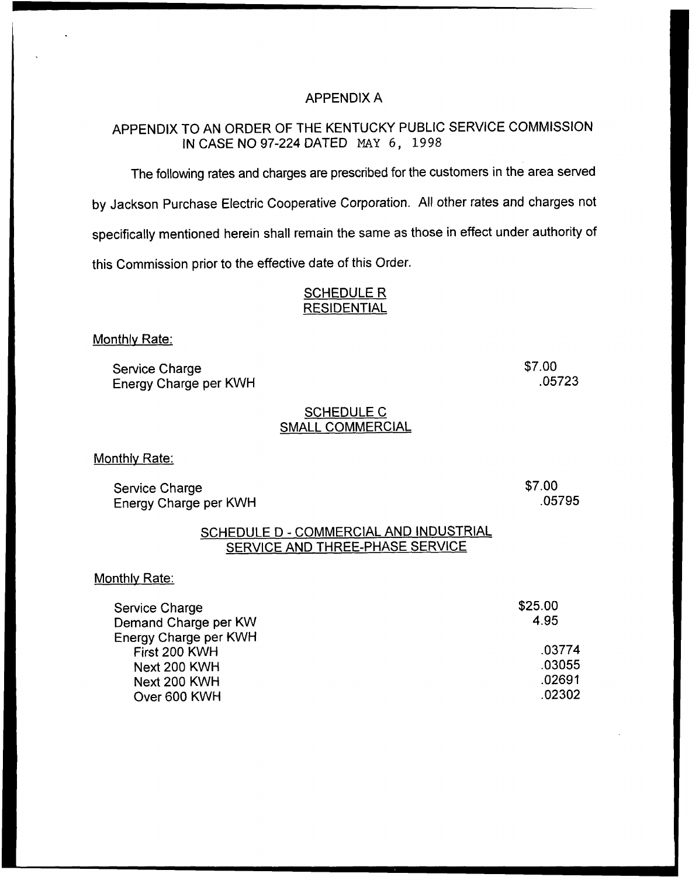### APPENDIX A

# APPENDIX TO AN ORDER OF THE KENTUCKY PUBLIC SERVICE COMMISSION IN CASE NO 97-224 DATED MAY 6, 1998

The following rates and charges are prescribed for the customers in the area served by Jackson Purchase Electric Cooperative Corporation. All other rates and charges not specifically mentioned herein shall remain the same as those in effect under authority of this Commission prior to the effective date of this Order.

## SCHEDULE R **RESIDENTIAL**

#### Monthly Rate:

Service Charge Energy Charge per KWH \$7.00 .05723

## SCHEDULE G SMALl COMMERCIAL

Monthly Rate:

Service Charge Energy Charge per KWH \$7.00 .05?95

# SCHEDULE D - COMMERCIAL AND INDUSTRIAL SERVICE AND THREE-PHASE SERVICE

#### Monthly Rate:

| \$25.00 |
|---------|
| 4.95    |
|         |
| .03774  |
| .03055  |
| .02691  |
| .02302  |
|         |